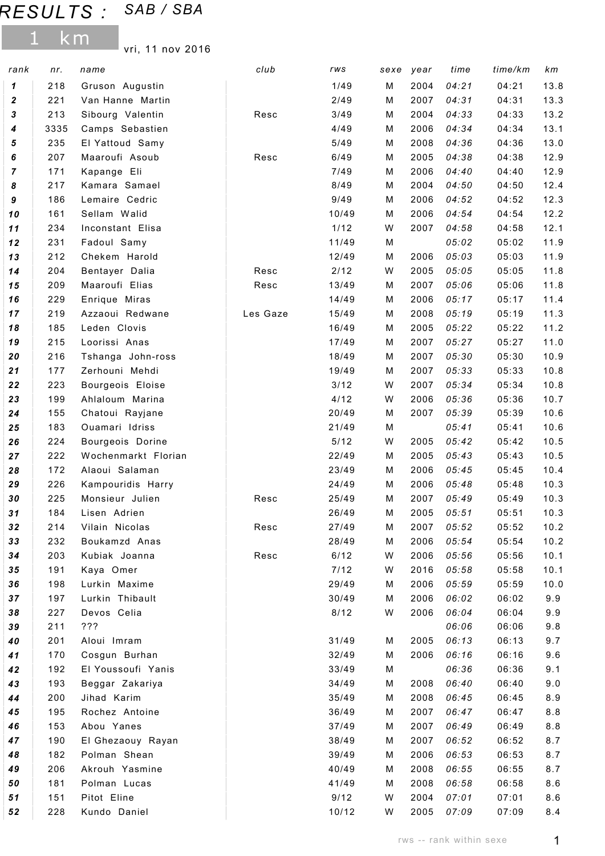## RESULTS : SAB / SBA

1 km

vri, 11 nov 2016

| 1/49<br>218<br>Gruson Augustin<br>M<br>2004<br>04:21<br>04:21<br>13.8<br>1<br>$\boldsymbol{2}$<br>2/49<br>04:31<br>13.3<br>221<br>Van Hanne Martin<br>2007<br>04:31<br>м<br>3<br>213<br>3/49<br>04:33<br>13.2<br>Sibourg Valentin<br>2004<br>04:33<br>Resc<br>м<br>13.1<br>3335<br>Camps Sebastien<br>4/49<br>2006<br>04:34<br>04:34<br>4<br>м<br>5/49<br>04:36<br>13.0<br>5<br>235<br>El Yattoud Samy<br>2008<br>04:36<br>м<br>207<br>6/49<br>04:38<br>12.9<br>6<br>Maaroufi Asoub<br>2005<br>04:38<br>Resc<br>м<br>12.9<br>7<br>171<br>Kapange Eli<br>7/49<br>2006<br>04:40<br>04:40<br>м<br>8<br>8/49<br>2004<br>12.4<br>217<br>Kamara Samael<br>04:50<br>04:50<br>м<br>$\boldsymbol{9}$<br>186<br>Lemaire Cedric<br>9/49<br>12.3<br>2006<br>04:52<br>04:52<br>м<br>Sellam Walid<br>10<br>161<br>10/49<br>2006<br>04:54<br>04:54<br>12.2<br>м<br>$1/12$<br>12.1<br>$11$<br>234<br>Inconstant Elisa<br>W<br>2007<br>04:58<br>04:58<br>231<br>11/49<br>05:02<br>11.9<br>12<br>Fadoul Samy<br>M<br>05:02<br>212<br>05:03<br>11.9<br>13<br>Chekem Harold<br>12/49<br>М<br>2006<br>05:03<br>2/12<br>05:05<br>05:05<br>11.8<br>14<br>204<br>Resc<br>W<br>2005<br>Bentayer Dalia<br>209<br>2007<br>05:06<br>11.8<br>15<br>Maaroufi Elias<br>13/49<br>05:06<br>Resc<br>м<br>16<br>229<br>Enrique Miras<br>14/49<br>2006<br>05:17<br>05:17<br>11.4<br>м<br>15/49<br>05:19<br>17<br>219<br>Azzaoui Redwane<br>Les Gaze<br>2008<br>05:19<br>11.3<br>м<br>185<br>Leden Clovis<br>05:22<br>11.2<br>18<br>16/49<br>М<br>2005<br>05:22<br>05:27<br>11.0<br>19<br>215<br>Loorissi Anas<br>17/49<br>2007<br>05:27<br>м<br>18/49<br>2007<br>05:30<br>05:30<br>10.9<br>20<br>216<br>Tshanga John-ross<br>M<br>177<br>2007<br>05:33<br>10.8<br>21<br>Zerhouni Mehdi<br>19/49<br>M<br>05:33<br>3/12<br>05:34<br>22<br>223<br>Bourgeois Eloise<br>W<br>2007<br>05:34<br>10.8<br>23<br>4/12<br>05:36<br>05:36<br>10.7<br>199<br>Ahlaloum Marina<br>W<br>2006<br>155<br>20/49<br>2007<br>05:39<br>10.6<br>24<br>Chatoui Rayjane<br>М<br>05:39<br>Ouamari Idriss<br>183<br>21/49<br>M<br>05:41<br>05:41<br>10.6<br>25<br>$5/12$<br>05:42<br>26<br>224<br>W<br>2005<br>05:42<br>10.5<br>Bourgeois Dorine<br>222<br>22/49<br>05:43<br>10.5<br>27<br>Wochenmarkt Florian<br>2005<br>05:43<br>м<br>05:45<br>172<br>Alaoui Salaman<br>23/49<br>2006<br>05:45<br>10.4<br>28<br>м<br>24/49<br>05:48<br>29<br>226<br>Kampouridis Harry<br>2006<br>05:48<br>10.3<br>м<br>225<br>Monsieur Julien<br>25/49<br>2007<br>05:49<br>05:49<br>10.3<br>30<br>M<br>Resc<br>05:51<br>184<br>26/49<br>2005<br>05:51<br>10.3<br>31<br>Lisen Adrien<br>м<br>32<br>05:52<br>10.2<br>214<br>Vilain Nicolas<br>27/49<br>2007<br>05:52<br>Resc<br>м<br>232<br>33<br>Boukamzd Anas<br>28/49<br>2006<br>05:54<br>05:54<br>10.2<br>М<br>203<br>6/12<br>2006<br>05:56<br>05:56<br>10.1<br>34<br>Kubiak Joanna<br>Resc<br>W<br>$7/12$<br>05:58<br>35<br>191<br>Kaya Omer<br>2016<br>05:58<br>10.1<br>W<br>05:59<br>36<br>198<br>Lurkin Maxime<br>29/49<br>2006<br>05:59<br>10.0<br>м<br>197<br>Lurkin Thibault<br>30/49<br>2006<br>06:02<br>06:02<br>9.9<br>37<br>М<br>Devos Celia<br>8/12<br>06:04<br>38<br>227<br>2006<br>06:04<br>9.9<br>W<br>39<br>211<br>???<br>06:06<br>06:06<br>9.8<br>201<br>31/49<br>2005<br>06:13<br>06:13<br>40<br>Aloui Imram<br>9.7<br>м<br>06:16<br>41<br>170<br>Cosgun Burhan<br>32/49<br>2006<br>06:16<br>9.6<br>м<br>06:36<br>42<br>192<br>El Youssoufi Yanis<br>33/49<br>06:36<br>9.1<br>М<br>43<br>193<br>34/49<br>2008<br>06:40<br>06:40<br>Beggar Zakariya<br>9.0<br>м<br>06:45<br>44<br>200<br>Jihad Karim<br>35/49<br>2008<br>06:45<br>8.9<br>м<br>195<br>Rochez Antoine<br>36/49<br>2007<br>06:47<br>06:47<br>8.8<br>45<br>М<br>153<br>37/49<br>2007<br>06:49<br>46<br>Abou Yanes<br>М<br>06:49<br>8.8<br>190<br>38/49<br>2007<br>06:52<br>8.7<br>47<br>El Ghezaouy Rayan<br>06:52<br>м<br>Polman Shean<br>06:53<br>182<br>39/49<br>2006<br>06:53<br>8.7<br>48<br>м<br>206<br>Akrouh Yasmine<br>40/49<br>2008<br>06:55<br>49<br>06:55<br>8.7<br>м<br>06:58<br>50<br>181<br>Polman Lucas<br>41/49<br>2008<br>06:58<br>8.6<br>м<br>Pitot Eline<br>9/12<br>51<br>151<br>W<br>2004<br>07:01<br>07:01<br>8.6<br>228<br>Kundo Daniel<br>10/12<br>2005<br>07:09<br>52<br>W<br>07:09<br>8.4 | rank | nr. | name | club | rws | sexe | year | time | time/km | km |
|-----------------------------------------------------------------------------------------------------------------------------------------------------------------------------------------------------------------------------------------------------------------------------------------------------------------------------------------------------------------------------------------------------------------------------------------------------------------------------------------------------------------------------------------------------------------------------------------------------------------------------------------------------------------------------------------------------------------------------------------------------------------------------------------------------------------------------------------------------------------------------------------------------------------------------------------------------------------------------------------------------------------------------------------------------------------------------------------------------------------------------------------------------------------------------------------------------------------------------------------------------------------------------------------------------------------------------------------------------------------------------------------------------------------------------------------------------------------------------------------------------------------------------------------------------------------------------------------------------------------------------------------------------------------------------------------------------------------------------------------------------------------------------------------------------------------------------------------------------------------------------------------------------------------------------------------------------------------------------------------------------------------------------------------------------------------------------------------------------------------------------------------------------------------------------------------------------------------------------------------------------------------------------------------------------------------------------------------------------------------------------------------------------------------------------------------------------------------------------------------------------------------------------------------------------------------------------------------------------------------------------------------------------------------------------------------------------------------------------------------------------------------------------------------------------------------------------------------------------------------------------------------------------------------------------------------------------------------------------------------------------------------------------------------------------------------------------------------------------------------------------------------------------------------------------------------------------------------------------------------------------------------------------------------------------------------------------------------------------------------------------------------------------------------------------------------------------------------------------------------------------------------------------------------------------------------------------------------------------------------------------------------------------------------------------------------------------------------------------------------------------------------------------------------------------------------------------------------------------------------------------------------------------------------------------------------------------------------------------------------------------------------------------------------------------------------------------------------------------------------------------------------------------------------------------------------------------------------------------------------------------------------------|------|-----|------|------|-----|------|------|------|---------|----|
|                                                                                                                                                                                                                                                                                                                                                                                                                                                                                                                                                                                                                                                                                                                                                                                                                                                                                                                                                                                                                                                                                                                                                                                                                                                                                                                                                                                                                                                                                                                                                                                                                                                                                                                                                                                                                                                                                                                                                                                                                                                                                                                                                                                                                                                                                                                                                                                                                                                                                                                                                                                                                                                                                                                                                                                                                                                                                                                                                                                                                                                                                                                                                                                                                                                                                                                                                                                                                                                                                                                                                                                                                                                                                                                                                                                                                                                                                                                                                                                                                                                                                                                                                                                                                                                                       |      |     |      |      |     |      |      |      |         |    |
|                                                                                                                                                                                                                                                                                                                                                                                                                                                                                                                                                                                                                                                                                                                                                                                                                                                                                                                                                                                                                                                                                                                                                                                                                                                                                                                                                                                                                                                                                                                                                                                                                                                                                                                                                                                                                                                                                                                                                                                                                                                                                                                                                                                                                                                                                                                                                                                                                                                                                                                                                                                                                                                                                                                                                                                                                                                                                                                                                                                                                                                                                                                                                                                                                                                                                                                                                                                                                                                                                                                                                                                                                                                                                                                                                                                                                                                                                                                                                                                                                                                                                                                                                                                                                                                                       |      |     |      |      |     |      |      |      |         |    |
|                                                                                                                                                                                                                                                                                                                                                                                                                                                                                                                                                                                                                                                                                                                                                                                                                                                                                                                                                                                                                                                                                                                                                                                                                                                                                                                                                                                                                                                                                                                                                                                                                                                                                                                                                                                                                                                                                                                                                                                                                                                                                                                                                                                                                                                                                                                                                                                                                                                                                                                                                                                                                                                                                                                                                                                                                                                                                                                                                                                                                                                                                                                                                                                                                                                                                                                                                                                                                                                                                                                                                                                                                                                                                                                                                                                                                                                                                                                                                                                                                                                                                                                                                                                                                                                                       |      |     |      |      |     |      |      |      |         |    |
|                                                                                                                                                                                                                                                                                                                                                                                                                                                                                                                                                                                                                                                                                                                                                                                                                                                                                                                                                                                                                                                                                                                                                                                                                                                                                                                                                                                                                                                                                                                                                                                                                                                                                                                                                                                                                                                                                                                                                                                                                                                                                                                                                                                                                                                                                                                                                                                                                                                                                                                                                                                                                                                                                                                                                                                                                                                                                                                                                                                                                                                                                                                                                                                                                                                                                                                                                                                                                                                                                                                                                                                                                                                                                                                                                                                                                                                                                                                                                                                                                                                                                                                                                                                                                                                                       |      |     |      |      |     |      |      |      |         |    |
|                                                                                                                                                                                                                                                                                                                                                                                                                                                                                                                                                                                                                                                                                                                                                                                                                                                                                                                                                                                                                                                                                                                                                                                                                                                                                                                                                                                                                                                                                                                                                                                                                                                                                                                                                                                                                                                                                                                                                                                                                                                                                                                                                                                                                                                                                                                                                                                                                                                                                                                                                                                                                                                                                                                                                                                                                                                                                                                                                                                                                                                                                                                                                                                                                                                                                                                                                                                                                                                                                                                                                                                                                                                                                                                                                                                                                                                                                                                                                                                                                                                                                                                                                                                                                                                                       |      |     |      |      |     |      |      |      |         |    |
|                                                                                                                                                                                                                                                                                                                                                                                                                                                                                                                                                                                                                                                                                                                                                                                                                                                                                                                                                                                                                                                                                                                                                                                                                                                                                                                                                                                                                                                                                                                                                                                                                                                                                                                                                                                                                                                                                                                                                                                                                                                                                                                                                                                                                                                                                                                                                                                                                                                                                                                                                                                                                                                                                                                                                                                                                                                                                                                                                                                                                                                                                                                                                                                                                                                                                                                                                                                                                                                                                                                                                                                                                                                                                                                                                                                                                                                                                                                                                                                                                                                                                                                                                                                                                                                                       |      |     |      |      |     |      |      |      |         |    |
|                                                                                                                                                                                                                                                                                                                                                                                                                                                                                                                                                                                                                                                                                                                                                                                                                                                                                                                                                                                                                                                                                                                                                                                                                                                                                                                                                                                                                                                                                                                                                                                                                                                                                                                                                                                                                                                                                                                                                                                                                                                                                                                                                                                                                                                                                                                                                                                                                                                                                                                                                                                                                                                                                                                                                                                                                                                                                                                                                                                                                                                                                                                                                                                                                                                                                                                                                                                                                                                                                                                                                                                                                                                                                                                                                                                                                                                                                                                                                                                                                                                                                                                                                                                                                                                                       |      |     |      |      |     |      |      |      |         |    |
|                                                                                                                                                                                                                                                                                                                                                                                                                                                                                                                                                                                                                                                                                                                                                                                                                                                                                                                                                                                                                                                                                                                                                                                                                                                                                                                                                                                                                                                                                                                                                                                                                                                                                                                                                                                                                                                                                                                                                                                                                                                                                                                                                                                                                                                                                                                                                                                                                                                                                                                                                                                                                                                                                                                                                                                                                                                                                                                                                                                                                                                                                                                                                                                                                                                                                                                                                                                                                                                                                                                                                                                                                                                                                                                                                                                                                                                                                                                                                                                                                                                                                                                                                                                                                                                                       |      |     |      |      |     |      |      |      |         |    |
|                                                                                                                                                                                                                                                                                                                                                                                                                                                                                                                                                                                                                                                                                                                                                                                                                                                                                                                                                                                                                                                                                                                                                                                                                                                                                                                                                                                                                                                                                                                                                                                                                                                                                                                                                                                                                                                                                                                                                                                                                                                                                                                                                                                                                                                                                                                                                                                                                                                                                                                                                                                                                                                                                                                                                                                                                                                                                                                                                                                                                                                                                                                                                                                                                                                                                                                                                                                                                                                                                                                                                                                                                                                                                                                                                                                                                                                                                                                                                                                                                                                                                                                                                                                                                                                                       |      |     |      |      |     |      |      |      |         |    |
|                                                                                                                                                                                                                                                                                                                                                                                                                                                                                                                                                                                                                                                                                                                                                                                                                                                                                                                                                                                                                                                                                                                                                                                                                                                                                                                                                                                                                                                                                                                                                                                                                                                                                                                                                                                                                                                                                                                                                                                                                                                                                                                                                                                                                                                                                                                                                                                                                                                                                                                                                                                                                                                                                                                                                                                                                                                                                                                                                                                                                                                                                                                                                                                                                                                                                                                                                                                                                                                                                                                                                                                                                                                                                                                                                                                                                                                                                                                                                                                                                                                                                                                                                                                                                                                                       |      |     |      |      |     |      |      |      |         |    |
|                                                                                                                                                                                                                                                                                                                                                                                                                                                                                                                                                                                                                                                                                                                                                                                                                                                                                                                                                                                                                                                                                                                                                                                                                                                                                                                                                                                                                                                                                                                                                                                                                                                                                                                                                                                                                                                                                                                                                                                                                                                                                                                                                                                                                                                                                                                                                                                                                                                                                                                                                                                                                                                                                                                                                                                                                                                                                                                                                                                                                                                                                                                                                                                                                                                                                                                                                                                                                                                                                                                                                                                                                                                                                                                                                                                                                                                                                                                                                                                                                                                                                                                                                                                                                                                                       |      |     |      |      |     |      |      |      |         |    |
|                                                                                                                                                                                                                                                                                                                                                                                                                                                                                                                                                                                                                                                                                                                                                                                                                                                                                                                                                                                                                                                                                                                                                                                                                                                                                                                                                                                                                                                                                                                                                                                                                                                                                                                                                                                                                                                                                                                                                                                                                                                                                                                                                                                                                                                                                                                                                                                                                                                                                                                                                                                                                                                                                                                                                                                                                                                                                                                                                                                                                                                                                                                                                                                                                                                                                                                                                                                                                                                                                                                                                                                                                                                                                                                                                                                                                                                                                                                                                                                                                                                                                                                                                                                                                                                                       |      |     |      |      |     |      |      |      |         |    |
|                                                                                                                                                                                                                                                                                                                                                                                                                                                                                                                                                                                                                                                                                                                                                                                                                                                                                                                                                                                                                                                                                                                                                                                                                                                                                                                                                                                                                                                                                                                                                                                                                                                                                                                                                                                                                                                                                                                                                                                                                                                                                                                                                                                                                                                                                                                                                                                                                                                                                                                                                                                                                                                                                                                                                                                                                                                                                                                                                                                                                                                                                                                                                                                                                                                                                                                                                                                                                                                                                                                                                                                                                                                                                                                                                                                                                                                                                                                                                                                                                                                                                                                                                                                                                                                                       |      |     |      |      |     |      |      |      |         |    |
|                                                                                                                                                                                                                                                                                                                                                                                                                                                                                                                                                                                                                                                                                                                                                                                                                                                                                                                                                                                                                                                                                                                                                                                                                                                                                                                                                                                                                                                                                                                                                                                                                                                                                                                                                                                                                                                                                                                                                                                                                                                                                                                                                                                                                                                                                                                                                                                                                                                                                                                                                                                                                                                                                                                                                                                                                                                                                                                                                                                                                                                                                                                                                                                                                                                                                                                                                                                                                                                                                                                                                                                                                                                                                                                                                                                                                                                                                                                                                                                                                                                                                                                                                                                                                                                                       |      |     |      |      |     |      |      |      |         |    |
|                                                                                                                                                                                                                                                                                                                                                                                                                                                                                                                                                                                                                                                                                                                                                                                                                                                                                                                                                                                                                                                                                                                                                                                                                                                                                                                                                                                                                                                                                                                                                                                                                                                                                                                                                                                                                                                                                                                                                                                                                                                                                                                                                                                                                                                                                                                                                                                                                                                                                                                                                                                                                                                                                                                                                                                                                                                                                                                                                                                                                                                                                                                                                                                                                                                                                                                                                                                                                                                                                                                                                                                                                                                                                                                                                                                                                                                                                                                                                                                                                                                                                                                                                                                                                                                                       |      |     |      |      |     |      |      |      |         |    |
|                                                                                                                                                                                                                                                                                                                                                                                                                                                                                                                                                                                                                                                                                                                                                                                                                                                                                                                                                                                                                                                                                                                                                                                                                                                                                                                                                                                                                                                                                                                                                                                                                                                                                                                                                                                                                                                                                                                                                                                                                                                                                                                                                                                                                                                                                                                                                                                                                                                                                                                                                                                                                                                                                                                                                                                                                                                                                                                                                                                                                                                                                                                                                                                                                                                                                                                                                                                                                                                                                                                                                                                                                                                                                                                                                                                                                                                                                                                                                                                                                                                                                                                                                                                                                                                                       |      |     |      |      |     |      |      |      |         |    |
|                                                                                                                                                                                                                                                                                                                                                                                                                                                                                                                                                                                                                                                                                                                                                                                                                                                                                                                                                                                                                                                                                                                                                                                                                                                                                                                                                                                                                                                                                                                                                                                                                                                                                                                                                                                                                                                                                                                                                                                                                                                                                                                                                                                                                                                                                                                                                                                                                                                                                                                                                                                                                                                                                                                                                                                                                                                                                                                                                                                                                                                                                                                                                                                                                                                                                                                                                                                                                                                                                                                                                                                                                                                                                                                                                                                                                                                                                                                                                                                                                                                                                                                                                                                                                                                                       |      |     |      |      |     |      |      |      |         |    |
|                                                                                                                                                                                                                                                                                                                                                                                                                                                                                                                                                                                                                                                                                                                                                                                                                                                                                                                                                                                                                                                                                                                                                                                                                                                                                                                                                                                                                                                                                                                                                                                                                                                                                                                                                                                                                                                                                                                                                                                                                                                                                                                                                                                                                                                                                                                                                                                                                                                                                                                                                                                                                                                                                                                                                                                                                                                                                                                                                                                                                                                                                                                                                                                                                                                                                                                                                                                                                                                                                                                                                                                                                                                                                                                                                                                                                                                                                                                                                                                                                                                                                                                                                                                                                                                                       |      |     |      |      |     |      |      |      |         |    |
|                                                                                                                                                                                                                                                                                                                                                                                                                                                                                                                                                                                                                                                                                                                                                                                                                                                                                                                                                                                                                                                                                                                                                                                                                                                                                                                                                                                                                                                                                                                                                                                                                                                                                                                                                                                                                                                                                                                                                                                                                                                                                                                                                                                                                                                                                                                                                                                                                                                                                                                                                                                                                                                                                                                                                                                                                                                                                                                                                                                                                                                                                                                                                                                                                                                                                                                                                                                                                                                                                                                                                                                                                                                                                                                                                                                                                                                                                                                                                                                                                                                                                                                                                                                                                                                                       |      |     |      |      |     |      |      |      |         |    |
|                                                                                                                                                                                                                                                                                                                                                                                                                                                                                                                                                                                                                                                                                                                                                                                                                                                                                                                                                                                                                                                                                                                                                                                                                                                                                                                                                                                                                                                                                                                                                                                                                                                                                                                                                                                                                                                                                                                                                                                                                                                                                                                                                                                                                                                                                                                                                                                                                                                                                                                                                                                                                                                                                                                                                                                                                                                                                                                                                                                                                                                                                                                                                                                                                                                                                                                                                                                                                                                                                                                                                                                                                                                                                                                                                                                                                                                                                                                                                                                                                                                                                                                                                                                                                                                                       |      |     |      |      |     |      |      |      |         |    |
|                                                                                                                                                                                                                                                                                                                                                                                                                                                                                                                                                                                                                                                                                                                                                                                                                                                                                                                                                                                                                                                                                                                                                                                                                                                                                                                                                                                                                                                                                                                                                                                                                                                                                                                                                                                                                                                                                                                                                                                                                                                                                                                                                                                                                                                                                                                                                                                                                                                                                                                                                                                                                                                                                                                                                                                                                                                                                                                                                                                                                                                                                                                                                                                                                                                                                                                                                                                                                                                                                                                                                                                                                                                                                                                                                                                                                                                                                                                                                                                                                                                                                                                                                                                                                                                                       |      |     |      |      |     |      |      |      |         |    |
|                                                                                                                                                                                                                                                                                                                                                                                                                                                                                                                                                                                                                                                                                                                                                                                                                                                                                                                                                                                                                                                                                                                                                                                                                                                                                                                                                                                                                                                                                                                                                                                                                                                                                                                                                                                                                                                                                                                                                                                                                                                                                                                                                                                                                                                                                                                                                                                                                                                                                                                                                                                                                                                                                                                                                                                                                                                                                                                                                                                                                                                                                                                                                                                                                                                                                                                                                                                                                                                                                                                                                                                                                                                                                                                                                                                                                                                                                                                                                                                                                                                                                                                                                                                                                                                                       |      |     |      |      |     |      |      |      |         |    |
|                                                                                                                                                                                                                                                                                                                                                                                                                                                                                                                                                                                                                                                                                                                                                                                                                                                                                                                                                                                                                                                                                                                                                                                                                                                                                                                                                                                                                                                                                                                                                                                                                                                                                                                                                                                                                                                                                                                                                                                                                                                                                                                                                                                                                                                                                                                                                                                                                                                                                                                                                                                                                                                                                                                                                                                                                                                                                                                                                                                                                                                                                                                                                                                                                                                                                                                                                                                                                                                                                                                                                                                                                                                                                                                                                                                                                                                                                                                                                                                                                                                                                                                                                                                                                                                                       |      |     |      |      |     |      |      |      |         |    |
|                                                                                                                                                                                                                                                                                                                                                                                                                                                                                                                                                                                                                                                                                                                                                                                                                                                                                                                                                                                                                                                                                                                                                                                                                                                                                                                                                                                                                                                                                                                                                                                                                                                                                                                                                                                                                                                                                                                                                                                                                                                                                                                                                                                                                                                                                                                                                                                                                                                                                                                                                                                                                                                                                                                                                                                                                                                                                                                                                                                                                                                                                                                                                                                                                                                                                                                                                                                                                                                                                                                                                                                                                                                                                                                                                                                                                                                                                                                                                                                                                                                                                                                                                                                                                                                                       |      |     |      |      |     |      |      |      |         |    |
|                                                                                                                                                                                                                                                                                                                                                                                                                                                                                                                                                                                                                                                                                                                                                                                                                                                                                                                                                                                                                                                                                                                                                                                                                                                                                                                                                                                                                                                                                                                                                                                                                                                                                                                                                                                                                                                                                                                                                                                                                                                                                                                                                                                                                                                                                                                                                                                                                                                                                                                                                                                                                                                                                                                                                                                                                                                                                                                                                                                                                                                                                                                                                                                                                                                                                                                                                                                                                                                                                                                                                                                                                                                                                                                                                                                                                                                                                                                                                                                                                                                                                                                                                                                                                                                                       |      |     |      |      |     |      |      |      |         |    |
|                                                                                                                                                                                                                                                                                                                                                                                                                                                                                                                                                                                                                                                                                                                                                                                                                                                                                                                                                                                                                                                                                                                                                                                                                                                                                                                                                                                                                                                                                                                                                                                                                                                                                                                                                                                                                                                                                                                                                                                                                                                                                                                                                                                                                                                                                                                                                                                                                                                                                                                                                                                                                                                                                                                                                                                                                                                                                                                                                                                                                                                                                                                                                                                                                                                                                                                                                                                                                                                                                                                                                                                                                                                                                                                                                                                                                                                                                                                                                                                                                                                                                                                                                                                                                                                                       |      |     |      |      |     |      |      |      |         |    |
|                                                                                                                                                                                                                                                                                                                                                                                                                                                                                                                                                                                                                                                                                                                                                                                                                                                                                                                                                                                                                                                                                                                                                                                                                                                                                                                                                                                                                                                                                                                                                                                                                                                                                                                                                                                                                                                                                                                                                                                                                                                                                                                                                                                                                                                                                                                                                                                                                                                                                                                                                                                                                                                                                                                                                                                                                                                                                                                                                                                                                                                                                                                                                                                                                                                                                                                                                                                                                                                                                                                                                                                                                                                                                                                                                                                                                                                                                                                                                                                                                                                                                                                                                                                                                                                                       |      |     |      |      |     |      |      |      |         |    |
|                                                                                                                                                                                                                                                                                                                                                                                                                                                                                                                                                                                                                                                                                                                                                                                                                                                                                                                                                                                                                                                                                                                                                                                                                                                                                                                                                                                                                                                                                                                                                                                                                                                                                                                                                                                                                                                                                                                                                                                                                                                                                                                                                                                                                                                                                                                                                                                                                                                                                                                                                                                                                                                                                                                                                                                                                                                                                                                                                                                                                                                                                                                                                                                                                                                                                                                                                                                                                                                                                                                                                                                                                                                                                                                                                                                                                                                                                                                                                                                                                                                                                                                                                                                                                                                                       |      |     |      |      |     |      |      |      |         |    |
|                                                                                                                                                                                                                                                                                                                                                                                                                                                                                                                                                                                                                                                                                                                                                                                                                                                                                                                                                                                                                                                                                                                                                                                                                                                                                                                                                                                                                                                                                                                                                                                                                                                                                                                                                                                                                                                                                                                                                                                                                                                                                                                                                                                                                                                                                                                                                                                                                                                                                                                                                                                                                                                                                                                                                                                                                                                                                                                                                                                                                                                                                                                                                                                                                                                                                                                                                                                                                                                                                                                                                                                                                                                                                                                                                                                                                                                                                                                                                                                                                                                                                                                                                                                                                                                                       |      |     |      |      |     |      |      |      |         |    |
|                                                                                                                                                                                                                                                                                                                                                                                                                                                                                                                                                                                                                                                                                                                                                                                                                                                                                                                                                                                                                                                                                                                                                                                                                                                                                                                                                                                                                                                                                                                                                                                                                                                                                                                                                                                                                                                                                                                                                                                                                                                                                                                                                                                                                                                                                                                                                                                                                                                                                                                                                                                                                                                                                                                                                                                                                                                                                                                                                                                                                                                                                                                                                                                                                                                                                                                                                                                                                                                                                                                                                                                                                                                                                                                                                                                                                                                                                                                                                                                                                                                                                                                                                                                                                                                                       |      |     |      |      |     |      |      |      |         |    |
|                                                                                                                                                                                                                                                                                                                                                                                                                                                                                                                                                                                                                                                                                                                                                                                                                                                                                                                                                                                                                                                                                                                                                                                                                                                                                                                                                                                                                                                                                                                                                                                                                                                                                                                                                                                                                                                                                                                                                                                                                                                                                                                                                                                                                                                                                                                                                                                                                                                                                                                                                                                                                                                                                                                                                                                                                                                                                                                                                                                                                                                                                                                                                                                                                                                                                                                                                                                                                                                                                                                                                                                                                                                                                                                                                                                                                                                                                                                                                                                                                                                                                                                                                                                                                                                                       |      |     |      |      |     |      |      |      |         |    |
|                                                                                                                                                                                                                                                                                                                                                                                                                                                                                                                                                                                                                                                                                                                                                                                                                                                                                                                                                                                                                                                                                                                                                                                                                                                                                                                                                                                                                                                                                                                                                                                                                                                                                                                                                                                                                                                                                                                                                                                                                                                                                                                                                                                                                                                                                                                                                                                                                                                                                                                                                                                                                                                                                                                                                                                                                                                                                                                                                                                                                                                                                                                                                                                                                                                                                                                                                                                                                                                                                                                                                                                                                                                                                                                                                                                                                                                                                                                                                                                                                                                                                                                                                                                                                                                                       |      |     |      |      |     |      |      |      |         |    |
|                                                                                                                                                                                                                                                                                                                                                                                                                                                                                                                                                                                                                                                                                                                                                                                                                                                                                                                                                                                                                                                                                                                                                                                                                                                                                                                                                                                                                                                                                                                                                                                                                                                                                                                                                                                                                                                                                                                                                                                                                                                                                                                                                                                                                                                                                                                                                                                                                                                                                                                                                                                                                                                                                                                                                                                                                                                                                                                                                                                                                                                                                                                                                                                                                                                                                                                                                                                                                                                                                                                                                                                                                                                                                                                                                                                                                                                                                                                                                                                                                                                                                                                                                                                                                                                                       |      |     |      |      |     |      |      |      |         |    |
|                                                                                                                                                                                                                                                                                                                                                                                                                                                                                                                                                                                                                                                                                                                                                                                                                                                                                                                                                                                                                                                                                                                                                                                                                                                                                                                                                                                                                                                                                                                                                                                                                                                                                                                                                                                                                                                                                                                                                                                                                                                                                                                                                                                                                                                                                                                                                                                                                                                                                                                                                                                                                                                                                                                                                                                                                                                                                                                                                                                                                                                                                                                                                                                                                                                                                                                                                                                                                                                                                                                                                                                                                                                                                                                                                                                                                                                                                                                                                                                                                                                                                                                                                                                                                                                                       |      |     |      |      |     |      |      |      |         |    |
|                                                                                                                                                                                                                                                                                                                                                                                                                                                                                                                                                                                                                                                                                                                                                                                                                                                                                                                                                                                                                                                                                                                                                                                                                                                                                                                                                                                                                                                                                                                                                                                                                                                                                                                                                                                                                                                                                                                                                                                                                                                                                                                                                                                                                                                                                                                                                                                                                                                                                                                                                                                                                                                                                                                                                                                                                                                                                                                                                                                                                                                                                                                                                                                                                                                                                                                                                                                                                                                                                                                                                                                                                                                                                                                                                                                                                                                                                                                                                                                                                                                                                                                                                                                                                                                                       |      |     |      |      |     |      |      |      |         |    |
|                                                                                                                                                                                                                                                                                                                                                                                                                                                                                                                                                                                                                                                                                                                                                                                                                                                                                                                                                                                                                                                                                                                                                                                                                                                                                                                                                                                                                                                                                                                                                                                                                                                                                                                                                                                                                                                                                                                                                                                                                                                                                                                                                                                                                                                                                                                                                                                                                                                                                                                                                                                                                                                                                                                                                                                                                                                                                                                                                                                                                                                                                                                                                                                                                                                                                                                                                                                                                                                                                                                                                                                                                                                                                                                                                                                                                                                                                                                                                                                                                                                                                                                                                                                                                                                                       |      |     |      |      |     |      |      |      |         |    |
|                                                                                                                                                                                                                                                                                                                                                                                                                                                                                                                                                                                                                                                                                                                                                                                                                                                                                                                                                                                                                                                                                                                                                                                                                                                                                                                                                                                                                                                                                                                                                                                                                                                                                                                                                                                                                                                                                                                                                                                                                                                                                                                                                                                                                                                                                                                                                                                                                                                                                                                                                                                                                                                                                                                                                                                                                                                                                                                                                                                                                                                                                                                                                                                                                                                                                                                                                                                                                                                                                                                                                                                                                                                                                                                                                                                                                                                                                                                                                                                                                                                                                                                                                                                                                                                                       |      |     |      |      |     |      |      |      |         |    |
|                                                                                                                                                                                                                                                                                                                                                                                                                                                                                                                                                                                                                                                                                                                                                                                                                                                                                                                                                                                                                                                                                                                                                                                                                                                                                                                                                                                                                                                                                                                                                                                                                                                                                                                                                                                                                                                                                                                                                                                                                                                                                                                                                                                                                                                                                                                                                                                                                                                                                                                                                                                                                                                                                                                                                                                                                                                                                                                                                                                                                                                                                                                                                                                                                                                                                                                                                                                                                                                                                                                                                                                                                                                                                                                                                                                                                                                                                                                                                                                                                                                                                                                                                                                                                                                                       |      |     |      |      |     |      |      |      |         |    |
|                                                                                                                                                                                                                                                                                                                                                                                                                                                                                                                                                                                                                                                                                                                                                                                                                                                                                                                                                                                                                                                                                                                                                                                                                                                                                                                                                                                                                                                                                                                                                                                                                                                                                                                                                                                                                                                                                                                                                                                                                                                                                                                                                                                                                                                                                                                                                                                                                                                                                                                                                                                                                                                                                                                                                                                                                                                                                                                                                                                                                                                                                                                                                                                                                                                                                                                                                                                                                                                                                                                                                                                                                                                                                                                                                                                                                                                                                                                                                                                                                                                                                                                                                                                                                                                                       |      |     |      |      |     |      |      |      |         |    |
|                                                                                                                                                                                                                                                                                                                                                                                                                                                                                                                                                                                                                                                                                                                                                                                                                                                                                                                                                                                                                                                                                                                                                                                                                                                                                                                                                                                                                                                                                                                                                                                                                                                                                                                                                                                                                                                                                                                                                                                                                                                                                                                                                                                                                                                                                                                                                                                                                                                                                                                                                                                                                                                                                                                                                                                                                                                                                                                                                                                                                                                                                                                                                                                                                                                                                                                                                                                                                                                                                                                                                                                                                                                                                                                                                                                                                                                                                                                                                                                                                                                                                                                                                                                                                                                                       |      |     |      |      |     |      |      |      |         |    |
|                                                                                                                                                                                                                                                                                                                                                                                                                                                                                                                                                                                                                                                                                                                                                                                                                                                                                                                                                                                                                                                                                                                                                                                                                                                                                                                                                                                                                                                                                                                                                                                                                                                                                                                                                                                                                                                                                                                                                                                                                                                                                                                                                                                                                                                                                                                                                                                                                                                                                                                                                                                                                                                                                                                                                                                                                                                                                                                                                                                                                                                                                                                                                                                                                                                                                                                                                                                                                                                                                                                                                                                                                                                                                                                                                                                                                                                                                                                                                                                                                                                                                                                                                                                                                                                                       |      |     |      |      |     |      |      |      |         |    |
|                                                                                                                                                                                                                                                                                                                                                                                                                                                                                                                                                                                                                                                                                                                                                                                                                                                                                                                                                                                                                                                                                                                                                                                                                                                                                                                                                                                                                                                                                                                                                                                                                                                                                                                                                                                                                                                                                                                                                                                                                                                                                                                                                                                                                                                                                                                                                                                                                                                                                                                                                                                                                                                                                                                                                                                                                                                                                                                                                                                                                                                                                                                                                                                                                                                                                                                                                                                                                                                                                                                                                                                                                                                                                                                                                                                                                                                                                                                                                                                                                                                                                                                                                                                                                                                                       |      |     |      |      |     |      |      |      |         |    |
|                                                                                                                                                                                                                                                                                                                                                                                                                                                                                                                                                                                                                                                                                                                                                                                                                                                                                                                                                                                                                                                                                                                                                                                                                                                                                                                                                                                                                                                                                                                                                                                                                                                                                                                                                                                                                                                                                                                                                                                                                                                                                                                                                                                                                                                                                                                                                                                                                                                                                                                                                                                                                                                                                                                                                                                                                                                                                                                                                                                                                                                                                                                                                                                                                                                                                                                                                                                                                                                                                                                                                                                                                                                                                                                                                                                                                                                                                                                                                                                                                                                                                                                                                                                                                                                                       |      |     |      |      |     |      |      |      |         |    |
|                                                                                                                                                                                                                                                                                                                                                                                                                                                                                                                                                                                                                                                                                                                                                                                                                                                                                                                                                                                                                                                                                                                                                                                                                                                                                                                                                                                                                                                                                                                                                                                                                                                                                                                                                                                                                                                                                                                                                                                                                                                                                                                                                                                                                                                                                                                                                                                                                                                                                                                                                                                                                                                                                                                                                                                                                                                                                                                                                                                                                                                                                                                                                                                                                                                                                                                                                                                                                                                                                                                                                                                                                                                                                                                                                                                                                                                                                                                                                                                                                                                                                                                                                                                                                                                                       |      |     |      |      |     |      |      |      |         |    |
|                                                                                                                                                                                                                                                                                                                                                                                                                                                                                                                                                                                                                                                                                                                                                                                                                                                                                                                                                                                                                                                                                                                                                                                                                                                                                                                                                                                                                                                                                                                                                                                                                                                                                                                                                                                                                                                                                                                                                                                                                                                                                                                                                                                                                                                                                                                                                                                                                                                                                                                                                                                                                                                                                                                                                                                                                                                                                                                                                                                                                                                                                                                                                                                                                                                                                                                                                                                                                                                                                                                                                                                                                                                                                                                                                                                                                                                                                                                                                                                                                                                                                                                                                                                                                                                                       |      |     |      |      |     |      |      |      |         |    |
|                                                                                                                                                                                                                                                                                                                                                                                                                                                                                                                                                                                                                                                                                                                                                                                                                                                                                                                                                                                                                                                                                                                                                                                                                                                                                                                                                                                                                                                                                                                                                                                                                                                                                                                                                                                                                                                                                                                                                                                                                                                                                                                                                                                                                                                                                                                                                                                                                                                                                                                                                                                                                                                                                                                                                                                                                                                                                                                                                                                                                                                                                                                                                                                                                                                                                                                                                                                                                                                                                                                                                                                                                                                                                                                                                                                                                                                                                                                                                                                                                                                                                                                                                                                                                                                                       |      |     |      |      |     |      |      |      |         |    |
|                                                                                                                                                                                                                                                                                                                                                                                                                                                                                                                                                                                                                                                                                                                                                                                                                                                                                                                                                                                                                                                                                                                                                                                                                                                                                                                                                                                                                                                                                                                                                                                                                                                                                                                                                                                                                                                                                                                                                                                                                                                                                                                                                                                                                                                                                                                                                                                                                                                                                                                                                                                                                                                                                                                                                                                                                                                                                                                                                                                                                                                                                                                                                                                                                                                                                                                                                                                                                                                                                                                                                                                                                                                                                                                                                                                                                                                                                                                                                                                                                                                                                                                                                                                                                                                                       |      |     |      |      |     |      |      |      |         |    |
|                                                                                                                                                                                                                                                                                                                                                                                                                                                                                                                                                                                                                                                                                                                                                                                                                                                                                                                                                                                                                                                                                                                                                                                                                                                                                                                                                                                                                                                                                                                                                                                                                                                                                                                                                                                                                                                                                                                                                                                                                                                                                                                                                                                                                                                                                                                                                                                                                                                                                                                                                                                                                                                                                                                                                                                                                                                                                                                                                                                                                                                                                                                                                                                                                                                                                                                                                                                                                                                                                                                                                                                                                                                                                                                                                                                                                                                                                                                                                                                                                                                                                                                                                                                                                                                                       |      |     |      |      |     |      |      |      |         |    |
|                                                                                                                                                                                                                                                                                                                                                                                                                                                                                                                                                                                                                                                                                                                                                                                                                                                                                                                                                                                                                                                                                                                                                                                                                                                                                                                                                                                                                                                                                                                                                                                                                                                                                                                                                                                                                                                                                                                                                                                                                                                                                                                                                                                                                                                                                                                                                                                                                                                                                                                                                                                                                                                                                                                                                                                                                                                                                                                                                                                                                                                                                                                                                                                                                                                                                                                                                                                                                                                                                                                                                                                                                                                                                                                                                                                                                                                                                                                                                                                                                                                                                                                                                                                                                                                                       |      |     |      |      |     |      |      |      |         |    |
|                                                                                                                                                                                                                                                                                                                                                                                                                                                                                                                                                                                                                                                                                                                                                                                                                                                                                                                                                                                                                                                                                                                                                                                                                                                                                                                                                                                                                                                                                                                                                                                                                                                                                                                                                                                                                                                                                                                                                                                                                                                                                                                                                                                                                                                                                                                                                                                                                                                                                                                                                                                                                                                                                                                                                                                                                                                                                                                                                                                                                                                                                                                                                                                                                                                                                                                                                                                                                                                                                                                                                                                                                                                                                                                                                                                                                                                                                                                                                                                                                                                                                                                                                                                                                                                                       |      |     |      |      |     |      |      |      |         |    |
|                                                                                                                                                                                                                                                                                                                                                                                                                                                                                                                                                                                                                                                                                                                                                                                                                                                                                                                                                                                                                                                                                                                                                                                                                                                                                                                                                                                                                                                                                                                                                                                                                                                                                                                                                                                                                                                                                                                                                                                                                                                                                                                                                                                                                                                                                                                                                                                                                                                                                                                                                                                                                                                                                                                                                                                                                                                                                                                                                                                                                                                                                                                                                                                                                                                                                                                                                                                                                                                                                                                                                                                                                                                                                                                                                                                                                                                                                                                                                                                                                                                                                                                                                                                                                                                                       |      |     |      |      |     |      |      |      |         |    |
|                                                                                                                                                                                                                                                                                                                                                                                                                                                                                                                                                                                                                                                                                                                                                                                                                                                                                                                                                                                                                                                                                                                                                                                                                                                                                                                                                                                                                                                                                                                                                                                                                                                                                                                                                                                                                                                                                                                                                                                                                                                                                                                                                                                                                                                                                                                                                                                                                                                                                                                                                                                                                                                                                                                                                                                                                                                                                                                                                                                                                                                                                                                                                                                                                                                                                                                                                                                                                                                                                                                                                                                                                                                                                                                                                                                                                                                                                                                                                                                                                                                                                                                                                                                                                                                                       |      |     |      |      |     |      |      |      |         |    |